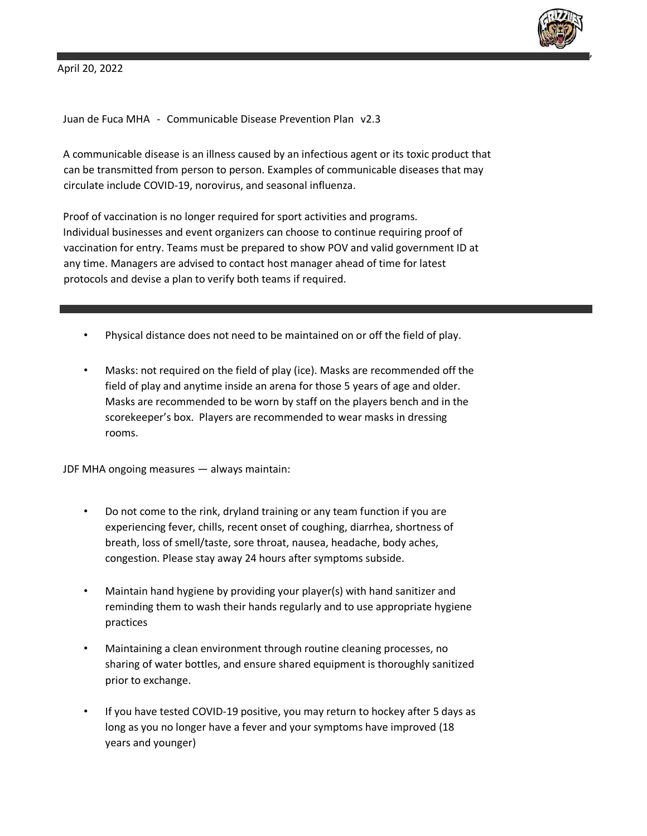

,

April 20, 2022

Juan de Fuca MHA - Communicable Disease Prevention Plan v2.3

A communicable disease is an illness caused by an infectious agent or its toxic product that can be transmitted from person to person. Examples of communicable diseases that may circulate include COVID-19, norovirus, and seasonal influenza.

Proof of vaccination is no longer required for sport activities and programs. Individual businesses and event organizers can choose to continue requiring proof of vaccination for entry. Teams must be prepared to show POV and valid government ID at any time. Managers are advised to contact host manager ahead of time for latest protocols and devise a plan to verify both teams if required.

- Physical distance does not need to be maintained on or off the field of play.
- Masks: not required on the field of play (ice). Masks are recommended off the field of play and anytime inside an arena for those 5 years of age and older. Masks are recommended to be worn by staff on the players bench and in the scorekeeper's box. Players are recommended to wear masks in dressing rooms.

JDF MHA ongoing measures — always maintain:

- Do not come to the rink, dryland training or any team function if you are experiencing fever, chills, recent onset of coughing, diarrhea, shortness of breath, loss of smell/taste, sore throat, nausea, headache, body aches, congestion. Please stay away 24 hours after symptoms subside.
- Maintain hand hygiene by providing your player(s) with hand sanitizer and reminding them to wash their hands regularly and to use appropriate hygiene practices
- Maintaining a clean environment through routine cleaning processes, no sharing of water bottles, and ensure shared equipment is thoroughly sanitized prior to exchange.
- If you have tested COVID-19 positive, you may return to hockey after 5 days as long as you no longer have a fever and your symptoms have improved (18 years and younger)